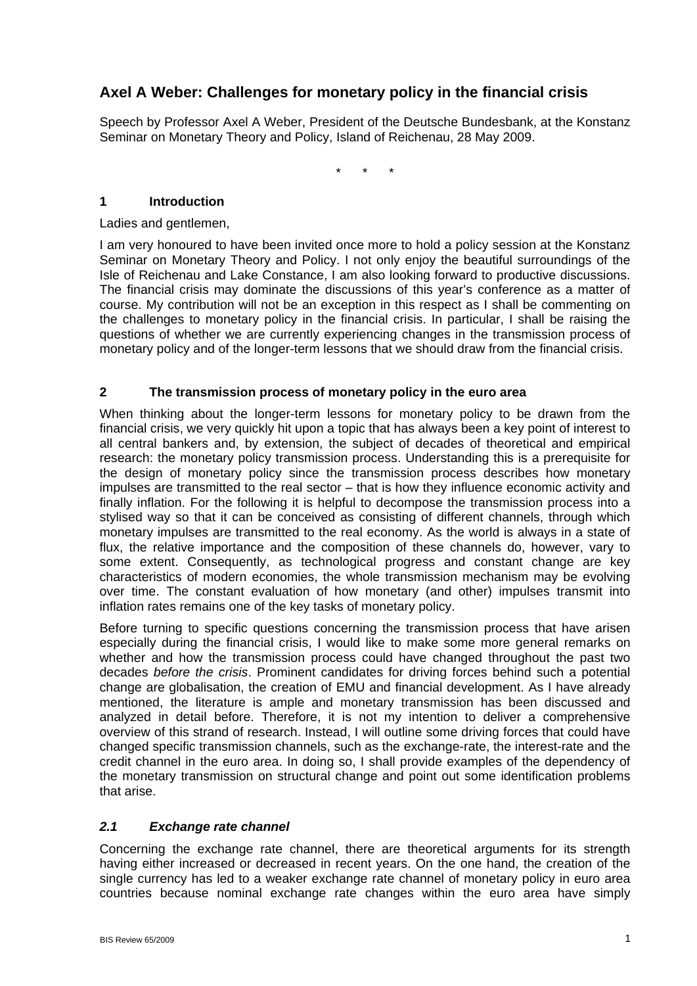# **Axel A Weber: Challenges for monetary policy in the financial crisis**

Speech by Professor Axel A Weber, President of the Deutsche Bundesbank, at the Konstanz Seminar on Monetary Theory and Policy, Island of Reichenau, 28 May 2009.

\* \* \*

## **1 Introduction**

Ladies and gentlemen,

I am very honoured to have been invited once more to hold a policy session at the Konstanz Seminar on Monetary Theory and Policy. I not only enjoy the beautiful surroundings of the Isle of Reichenau and Lake Constance, I am also looking forward to productive discussions. The financial crisis may dominate the discussions of this year's conference as a matter of course. My contribution will not be an exception in this respect as I shall be commenting on the challenges to monetary policy in the financial crisis. In particular, I shall be raising the questions of whether we are currently experiencing changes in the transmission process of monetary policy and of the longer-term lessons that we should draw from the financial crisis.

## **2 The transmission process of monetary policy in the euro area**

When thinking about the longer-term lessons for monetary policy to be drawn from the financial crisis, we very quickly hit upon a topic that has always been a key point of interest to all central bankers and, by extension, the subject of decades of theoretical and empirical research: the monetary policy transmission process. Understanding this is a prerequisite for the design of monetary policy since the transmission process describes how monetary impulses are transmitted to the real sector – that is how they influence economic activity and finally inflation. For the following it is helpful to decompose the transmission process into a stylised way so that it can be conceived as consisting of different channels, through which monetary impulses are transmitted to the real economy. As the world is always in a state of flux, the relative importance and the composition of these channels do, however, vary to some extent. Consequently, as technological progress and constant change are key characteristics of modern economies, the whole transmission mechanism may be evolving over time. The constant evaluation of how monetary (and other) impulses transmit into inflation rates remains one of the key tasks of monetary policy.

Before turning to specific questions concerning the transmission process that have arisen especially during the financial crisis, I would like to make some more general remarks on whether and how the transmission process could have changed throughout the past two decades *before the crisis*. Prominent candidates for driving forces behind such a potential change are globalisation, the creation of EMU and financial development. As I have already mentioned, the literature is ample and monetary transmission has been discussed and analyzed in detail before. Therefore, it is not my intention to deliver a comprehensive overview of this strand of research. Instead, I will outline some driving forces that could have changed specific transmission channels, such as the exchange-rate, the interest-rate and the credit channel in the euro area. In doing so, I shall provide examples of the dependency of the monetary transmission on structural change and point out some identification problems that arise.

#### *2.1 Exchange rate channel*

Concerning the exchange rate channel, there are theoretical arguments for its strength having either increased or decreased in recent years. On the one hand, the creation of the single currency has led to a weaker exchange rate channel of monetary policy in euro area countries because nominal exchange rate changes within the euro area have simply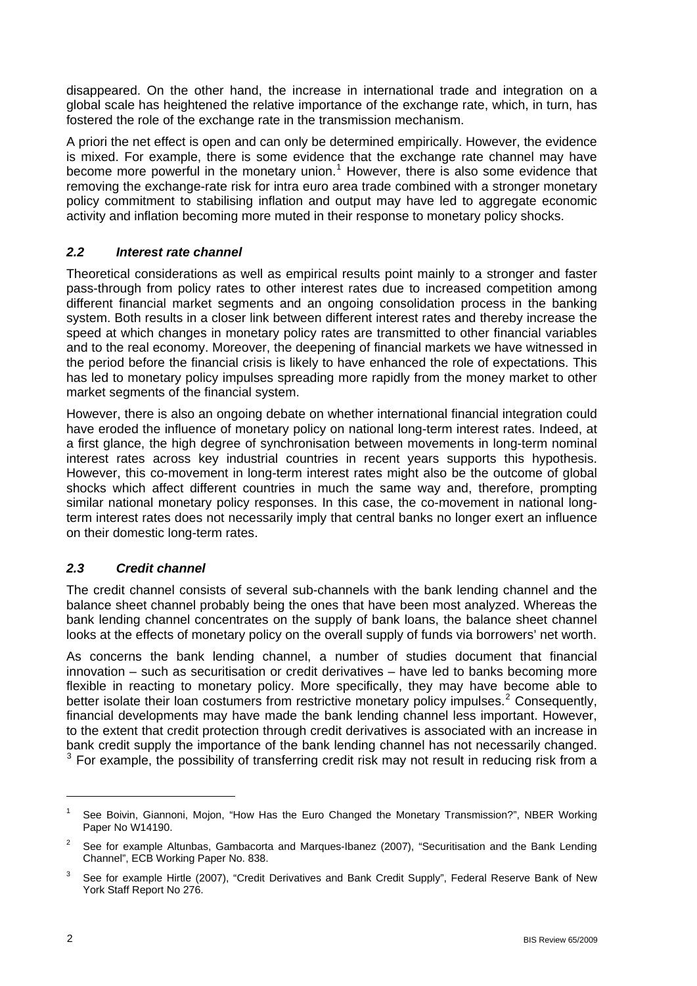disappeared. On the other hand, the increase in international trade and integration on a global scale has heightened the relative importance of the exchange rate, which, in turn, has fostered the role of the exchange rate in the transmission mechanism.

A priori the net effect is open and can only be determined empirically. However, the evidence is mixed. For example, there is some evidence that the exchange rate channel may have become more powerful in the monetary union.<sup>[1](#page-1-0)</sup> However, there is also some evidence that removing the exchange-rate risk for intra euro area trade combined with a stronger monetary policy commitment to stabilising inflation and output may have led to aggregate economic activity and inflation becoming more muted in their response to monetary policy shocks.

## *2.2 Interest rate channel*

Theoretical considerations as well as empirical results point mainly to a stronger and faster pass-through from policy rates to other interest rates due to increased competition among different financial market segments and an ongoing consolidation process in the banking system. Both results in a closer link between different interest rates and thereby increase the speed at which changes in monetary policy rates are transmitted to other financial variables and to the real economy. Moreover, the deepening of financial markets we have witnessed in the period before the financial crisis is likely to have enhanced the role of expectations. This has led to monetary policy impulses spreading more rapidly from the money market to other market segments of the financial system.

However, there is also an ongoing debate on whether international financial integration could have eroded the influence of monetary policy on national long-term interest rates. Indeed, at a first glance, the high degree of synchronisation between movements in long-term nominal interest rates across key industrial countries in recent years supports this hypothesis. However, this co-movement in long-term interest rates might also be the outcome of global shocks which affect different countries in much the same way and, therefore, prompting similar national monetary policy responses. In this case, the co-movement in national longterm interest rates does not necessarily imply that central banks no longer exert an influence on their domestic long-term rates.

## *2.3 Credit channel*

The credit channel consists of several sub-channels with the bank lending channel and the balance sheet channel probably being the ones that have been most analyzed. Whereas the bank lending channel concentrates on the supply of bank loans, the balance sheet channel looks at the effects of monetary policy on the overall supply of funds via borrowers' net worth.

As concerns the bank lending channel, a number of studies document that financial innovation – such as securitisation or credit derivatives – have led to banks becoming more flexible in reacting to monetary policy. More specifically, they may have become able to better isolate their loan costumers from restrictive monetary policy impulses.<sup>[2](#page-1-1)</sup> Consequently, financial developments may have made the bank lending channel less important. However, to the extent that credit protection through credit derivatives is associated with an increase in bank credit supply the importance of the bank lending channel has not necessarily changed.  $3$  For example, the possibility of transferring credit risk may not result in reducing risk from a

 $\overline{a}$ 

<span id="page-1-0"></span><sup>1</sup> See Boivin, Giannoni, Mojon, "How Has the Euro Changed the Monetary Transmission?", NBER Working Paper No W14190.

<span id="page-1-1"></span><sup>&</sup>lt;sup>2</sup> See for example Altunbas, Gambacorta and Marques-Ibanez (2007), "Securitisation and the Bank Lending Channel", ECB Working Paper No. 838.

<span id="page-1-2"></span><sup>3</sup> See for example Hirtle (2007), "Credit Derivatives and Bank Credit Supply", Federal Reserve Bank of New York Staff Report No 276.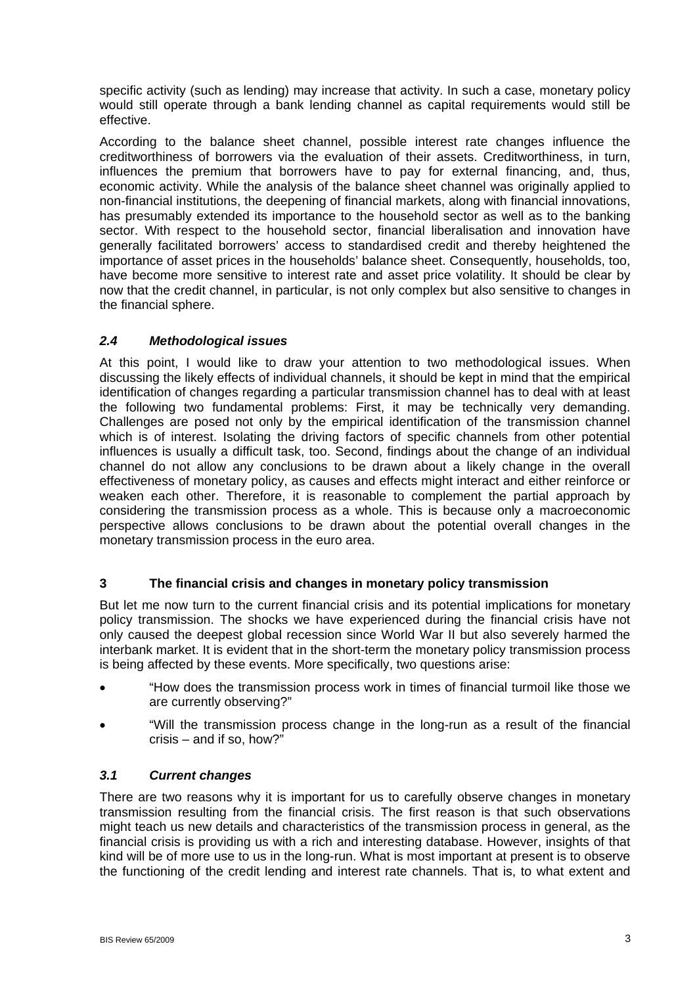specific activity (such as lending) may increase that activity. In such a case, monetary policy would still operate through a bank lending channel as capital requirements would still be effective.

According to the balance sheet channel, possible interest rate changes influence the creditworthiness of borrowers via the evaluation of their assets. Creditworthiness, in turn, influences the premium that borrowers have to pay for external financing, and, thus, economic activity. While the analysis of the balance sheet channel was originally applied to non-financial institutions, the deepening of financial markets, along with financial innovations, has presumably extended its importance to the household sector as well as to the banking sector. With respect to the household sector, financial liberalisation and innovation have generally facilitated borrowers' access to standardised credit and thereby heightened the importance of asset prices in the households' balance sheet. Consequently, households, too, have become more sensitive to interest rate and asset price volatility. It should be clear by now that the credit channel, in particular, is not only complex but also sensitive to changes in the financial sphere.

## *2.4 Methodological issues*

At this point, I would like to draw your attention to two methodological issues. When discussing the likely effects of individual channels, it should be kept in mind that the empirical identification of changes regarding a particular transmission channel has to deal with at least the following two fundamental problems: First, it may be technically very demanding. Challenges are posed not only by the empirical identification of the transmission channel which is of interest. Isolating the driving factors of specific channels from other potential influences is usually a difficult task, too. Second, findings about the change of an individual channel do not allow any conclusions to be drawn about a likely change in the overall effectiveness of monetary policy, as causes and effects might interact and either reinforce or weaken each other. Therefore, it is reasonable to complement the partial approach by considering the transmission process as a whole. This is because only a macroeconomic perspective allows conclusions to be drawn about the potential overall changes in the monetary transmission process in the euro area.

#### **3 The financial crisis and changes in monetary policy transmission**

But let me now turn to the current financial crisis and its potential implications for monetary policy transmission. The shocks we have experienced during the financial crisis have not only caused the deepest global recession since World War II but also severely harmed the interbank market. It is evident that in the short-term the monetary policy transmission process is being affected by these events. More specifically, two questions arise:

- "How does the transmission process work in times of financial turmoil like those we are currently observing?"
- "Will the transmission process change in the long-run as a result of the financial crisis – and if so, how?"

#### *3.1 Current changes*

There are two reasons why it is important for us to carefully observe changes in monetary transmission resulting from the financial crisis. The first reason is that such observations might teach us new details and characteristics of the transmission process in general, as the financial crisis is providing us with a rich and interesting database. However, insights of that kind will be of more use to us in the long-run. What is most important at present is to observe the functioning of the credit lending and interest rate channels. That is, to what extent and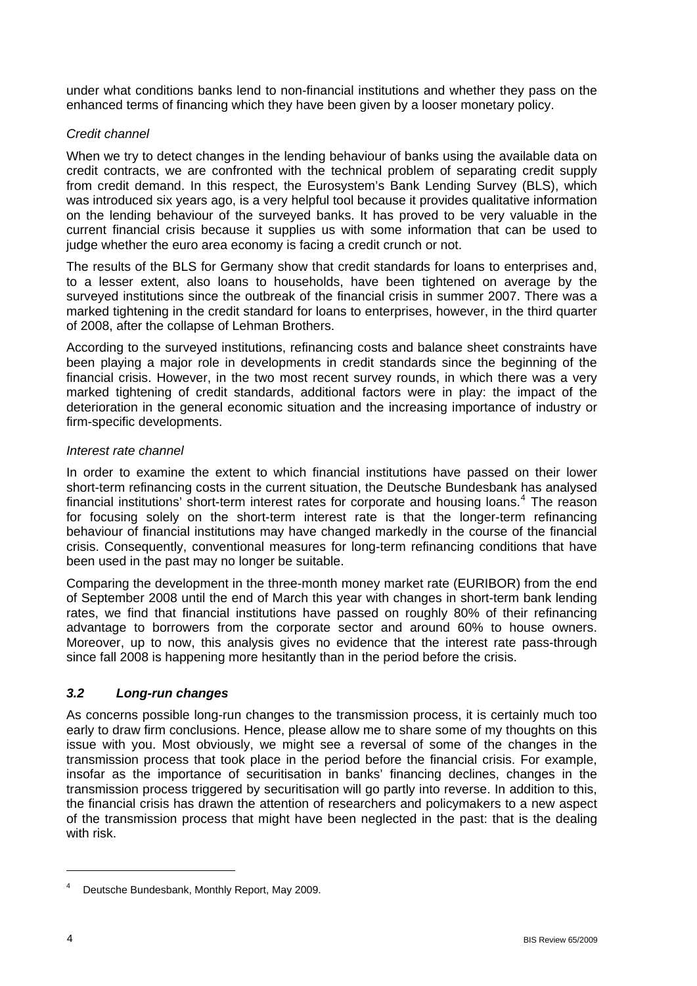under what conditions banks lend to non-financial institutions and whether they pass on the enhanced terms of financing which they have been given by a looser monetary policy.

### *Credit channel*

When we try to detect changes in the lending behaviour of banks using the available data on credit contracts, we are confronted with the technical problem of separating credit supply from credit demand. In this respect, the Eurosystem's Bank Lending Survey (BLS), which was introduced six years ago, is a very helpful tool because it provides qualitative information on the lending behaviour of the surveyed banks. It has proved to be very valuable in the current financial crisis because it supplies us with some information that can be used to judge whether the euro area economy is facing a credit crunch or not.

The results of the BLS for Germany show that credit standards for loans to enterprises and, to a lesser extent, also loans to households, have been tightened on average by the surveyed institutions since the outbreak of the financial crisis in summer 2007. There was a marked tightening in the credit standard for loans to enterprises, however, in the third quarter of 2008, after the collapse of Lehman Brothers.

According to the surveyed institutions, refinancing costs and balance sheet constraints have been playing a major role in developments in credit standards since the beginning of the financial crisis. However, in the two most recent survey rounds, in which there was a very marked tightening of credit standards, additional factors were in play: the impact of the deterioration in the general economic situation and the increasing importance of industry or firm-specific developments.

#### *Interest rate channel*

In order to examine the extent to which financial institutions have passed on their lower short-term refinancing costs in the current situation, the Deutsche Bundesbank has analysed financial institutions' short-term interest rates for corporate and housing loans.<sup>[4](#page-3-0)</sup> The reason for focusing solely on the short-term interest rate is that the longer-term refinancing behaviour of financial institutions may have changed markedly in the course of the financial crisis. Consequently, conventional measures for long-term refinancing conditions that have been used in the past may no longer be suitable.

Comparing the development in the three-month money market rate (EURIBOR) from the end of September 2008 until the end of March this year with changes in short-term bank lending rates, we find that financial institutions have passed on roughly 80% of their refinancing advantage to borrowers from the corporate sector and around 60% to house owners. Moreover, up to now, this analysis gives no evidence that the interest rate pass-through since fall 2008 is happening more hesitantly than in the period before the crisis.

#### *3.2 Long-run changes*

As concerns possible long-run changes to the transmission process, it is certainly much too early to draw firm conclusions. Hence, please allow me to share some of my thoughts on this issue with you. Most obviously, we might see a reversal of some of the changes in the transmission process that took place in the period before the financial crisis. For example, insofar as the importance of securitisation in banks' financing declines, changes in the transmission process triggered by securitisation will go partly into reverse. In addition to this, the financial crisis has drawn the attention of researchers and policymakers to a new aspect of the transmission process that might have been neglected in the past: that is the dealing with risk.

 $\overline{a}$ 

<span id="page-3-0"></span><sup>4</sup> Deutsche Bundesbank, Monthly Report, May 2009.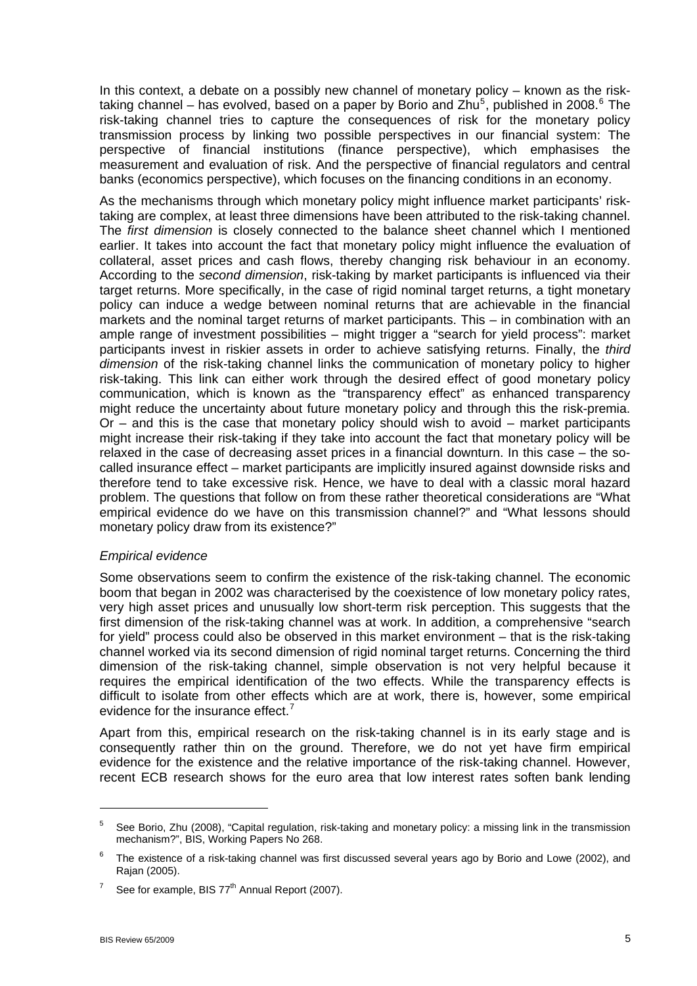In this context, a debate on a possibly new channel of monetary policy – known as the risk-taking channel – has evolved, based on a paper by Borio and Zhu<sup>[5](#page-4-0)</sup>, published in 2008.<sup>[6](#page-4-1)</sup> The risk-taking channel tries to capture the consequences of risk for the monetary policy transmission process by linking two possible perspectives in our financial system: The perspective of financial institutions (finance perspective), which emphasises the measurement and evaluation of risk. And the perspective of financial regulators and central banks (economics perspective), which focuses on the financing conditions in an economy.

As the mechanisms through which monetary policy might influence market participants' risktaking are complex, at least three dimensions have been attributed to the risk-taking channel. The *first dimension* is closely connected to the balance sheet channel which I mentioned earlier. It takes into account the fact that monetary policy might influence the evaluation of collateral, asset prices and cash flows, thereby changing risk behaviour in an economy. According to the *second dimension*, risk-taking by market participants is influenced via their target returns. More specifically, in the case of rigid nominal target returns, a tight monetary policy can induce a wedge between nominal returns that are achievable in the financial markets and the nominal target returns of market participants. This – in combination with an ample range of investment possibilities – might trigger a "search for yield process": market participants invest in riskier assets in order to achieve satisfying returns. Finally, the *third dimension* of the risk-taking channel links the communication of monetary policy to higher risk-taking. This link can either work through the desired effect of good monetary policy communication, which is known as the "transparency effect" as enhanced transparency might reduce the uncertainty about future monetary policy and through this the risk-premia. Or – and this is the case that monetary policy should wish to avoid – market participants might increase their risk-taking if they take into account the fact that monetary policy will be relaxed in the case of decreasing asset prices in a financial downturn. In this case – the socalled insurance effect – market participants are implicitly insured against downside risks and therefore tend to take excessive risk. Hence, we have to deal with a classic moral hazard problem. The questions that follow on from these rather theoretical considerations are "What empirical evidence do we have on this transmission channel?" and "What lessons should monetary policy draw from its existence?"

#### *Empirical evidence*

Some observations seem to confirm the existence of the risk-taking channel. The economic boom that began in 2002 was characterised by the coexistence of low monetary policy rates, very high asset prices and unusually low short-term risk perception. This suggests that the first dimension of the risk-taking channel was at work. In addition, a comprehensive "search for yield" process could also be observed in this market environment – that is the risk-taking channel worked via its second dimension of rigid nominal target returns. Concerning the third dimension of the risk-taking channel, simple observation is not very helpful because it requires the empirical identification of the two effects. While the transparency effects is difficult to isolate from other effects which are at work, there is, however, some empirical evidence for the insurance effect. $<sup>7</sup>$  $<sup>7</sup>$  $<sup>7</sup>$ </sup>

Apart from this, empirical research on the risk-taking channel is in its early stage and is consequently rather thin on the ground. Therefore, we do not yet have firm empirical evidence for the existence and the relative importance of the risk-taking channel. However, recent ECB research shows for the euro area that low interest rates soften bank lending

1

<span id="page-4-0"></span><sup>5</sup> See Borio, Zhu (2008), "Capital regulation, risk-taking and monetary policy: a missing link in the transmission mechanism?", BIS, Working Papers No 268.

<span id="page-4-1"></span><sup>6</sup> The existence of a risk-taking channel was first discussed several years ago by Borio and Lowe (2002), and Rajan (2005).

<span id="page-4-2"></span><sup>7</sup> See for example, BIS 77<sup>th</sup> Annual Report (2007).